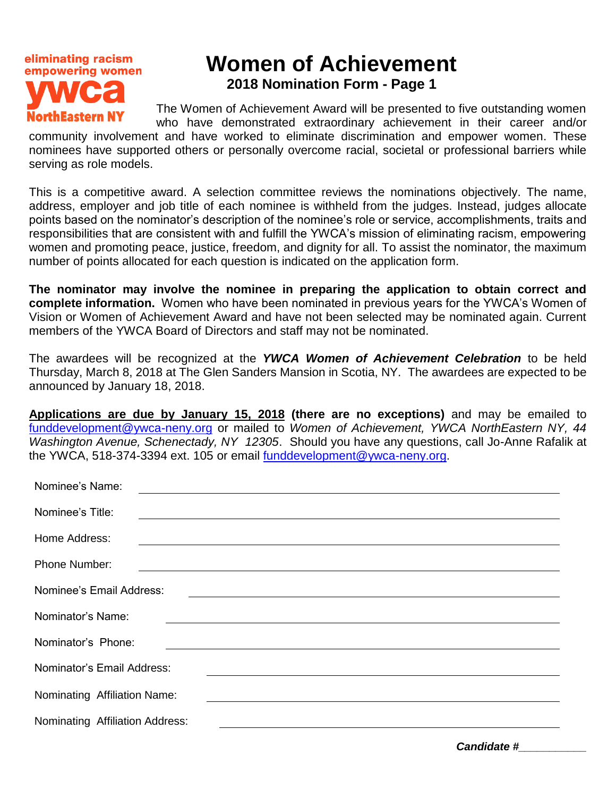

serving as role models.

## **Women of Achievement 2018 Nomination Form - Page 1**

The Women of Achievement Award will be presented to five outstanding women who have demonstrated extraordinary achievement in their career and/or community involvement and have worked to eliminate discrimination and empower women. These nominees have supported others or personally overcome racial, societal or professional barriers while

This is a competitive award. A selection committee reviews the nominations objectively. The name, address, employer and job title of each nominee is withheld from the judges. Instead, judges allocate points based on the nominator's description of the nominee's role or service, accomplishments, traits and responsibilities that are consistent with and fulfill the YWCA's mission of eliminating racism, empowering women and promoting peace, justice, freedom, and dignity for all. To assist the nominator, the maximum number of points allocated for each question is indicated on the application form.

**The nominator may involve the nominee in preparing the application to obtain correct and complete information.** Women who have been nominated in previous years for the YWCA's Women of Vision or Women of Achievement Award and have not been selected may be nominated again. Current members of the YWCA Board of Directors and staff may not be nominated.

The awardees will be recognized at the *YWCA Women of Achievement Celebration* to be held Thursday, March 8, 2018 at The Glen Sanders Mansion in Scotia, NY. The awardees are expected to be announced by January 18, 2018.

**Applications are due by January 15, 2018 (there are no exceptions)** and may be emailed to [funddevelopment@ywca-neny.org](mailto:funddevelopment@ywca-neny.org) or mailed to *Women of Achievement, YWCA NorthEastern NY, 44 Washington Avenue, Schenectady, NY 12305*. Should you have any questions, call Jo-Anne Rafalik at the YWCA, 518-374-3394 ext. 105 or email [funddevelopment@ywca-neny.org.](mailto:funddevelopment@ywca-neny.org)

| Nominee's Name:<br><u> 1980 - Jan Samuel Barbara, margaret eta idazlea (h. 1980).</u>                                                             |
|---------------------------------------------------------------------------------------------------------------------------------------------------|
| Nominee's Title:                                                                                                                                  |
| Home Address:<br><u> 1989 - Johann Stoff, amerikansk politiker (d. 1989)</u>                                                                      |
| Phone Number:                                                                                                                                     |
| Nominee's Email Address:<br><u> 1989 - Johann Stoff, deutscher Stoffen und der Stoffen und der Stoffen und der Stoffen und der Stoffen und de</u> |
| Nominator's Name:                                                                                                                                 |
| Nominator's Phone:<br><u> 1989 - Johann Stoff, amerikansk politiker (d. 1989)</u>                                                                 |
| Nominator's Email Address:                                                                                                                        |
| Nominating Affiliation Name:                                                                                                                      |
| Nominating Affiliation Address:                                                                                                                   |

*Candidate #\_\_\_\_\_\_\_\_\_\_\_*